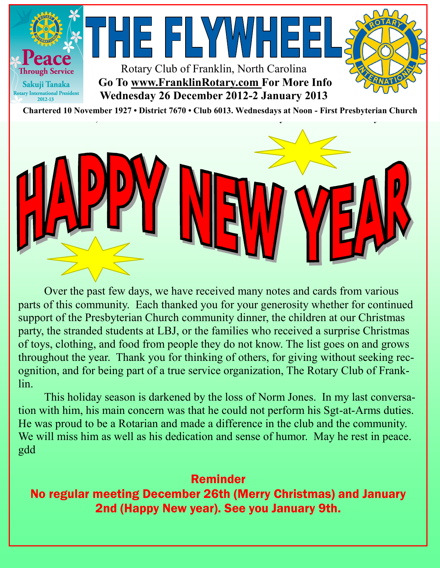



Over the past few days, we have received many notes and cards from various parts of this community. Each thanked you for your generosity whether for continued support of the Presbyterian Church community dinner, the children at our Christmas party, the stranded students at LBJ, or the families who received a surprise Christmas of toys, clothing, and food from people they do not know. The list goes on and grows throughout the year. Thank you for thinking of others, for giving without seeking recognition, and for being part of a true service organization, The Rotary Club of Franklin.

This holiday season is darkened by the loss of Norm Jones. In my last conversation with him, his main concern was that he could not perform his Sgt-at-Arms duties. He was proud to be a Rotarian and made a difference in the club and the community. We will miss him as well as his dedication and sense of humor. May he rest in peace. gdd

Reminder No regular meeting December 26th (Merry Christmas) and January 2nd (Happy New year). See you January 9th.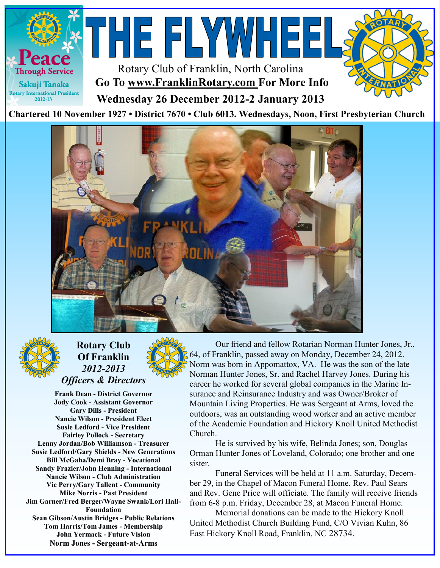





## **Rotary Club Of Franklin** *2012-2013 Officers & Directors*

**Frank Dean - District Governor Jody Cook - Assistant Governor Gary Dills - President Nancie Wilson - President Elect Susie Ledford - Vice President Fairley Pollock - Secretary Lenny Jordan/Bob Williamson - Treasurer Susie Ledford/Gary Shields - New Generations Bill McGaha/Demi Bray - Vocational Sandy Frazier/John Henning - International Nancie Wilson - Club Administration Vic Perry/Gary Tallent - Community Mike Norris - Past President Jim Garner/Fred Berger/Wayne Swank/Lori Hall-Foundation Sean Gibson/Austin Bridges - Public Relations Tom Harris/Tom James - Membership John Yermack - Future Vision Norm Jones - Sergeant-at-Arms**

Our friend and fellow Rotarian Norman Hunter Jones, Jr., 64, of Franklin, passed away on Monday, December 24, 2012. Norm was born in Appomattox, VA. He was the son of the late Norman Hunter Jones, Sr. and Rachel Harvey Jones. During his career he worked for several global companies in the Marine Insurance and Reinsurance Industry and was Owner/Broker of Mountain Living Properties. He was Sergeant at Arms, loved the outdoors, was an outstanding wood worker and an active member of the Academic Foundation and Hickory Knoll United Methodist Church.

He is survived by his wife, Belinda Jones; son, Douglas Orman Hunter Jones of Loveland, Colorado; one brother and one sister.

Funeral Services will be held at 11 a.m. Saturday, December 29, in the Chapel of Macon Funeral Home. Rev. Paul Sears and Rev. Gene Price will officiate. The family will receive friends from 6-8 p.m. Friday, December 28, at Macon Funeral Home.

Memorial donations can be made to the Hickory Knoll United Methodist Church Building Fund, C/O Vivian Kuhn, 86 East Hickory Knoll Road, Franklin, NC 28734.